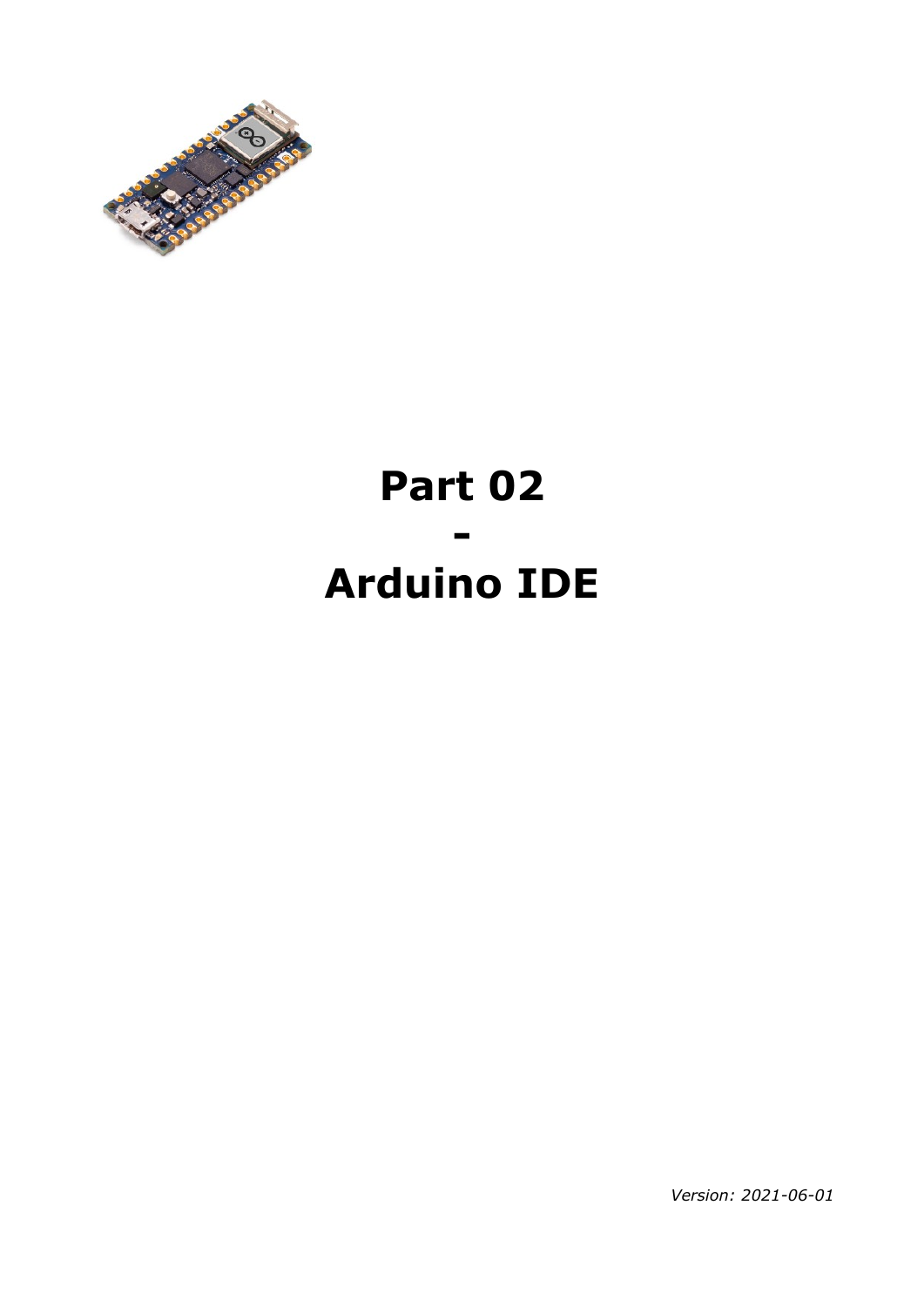

## **Part 02 - Arduino IDE**

*Version: 2021-06-01*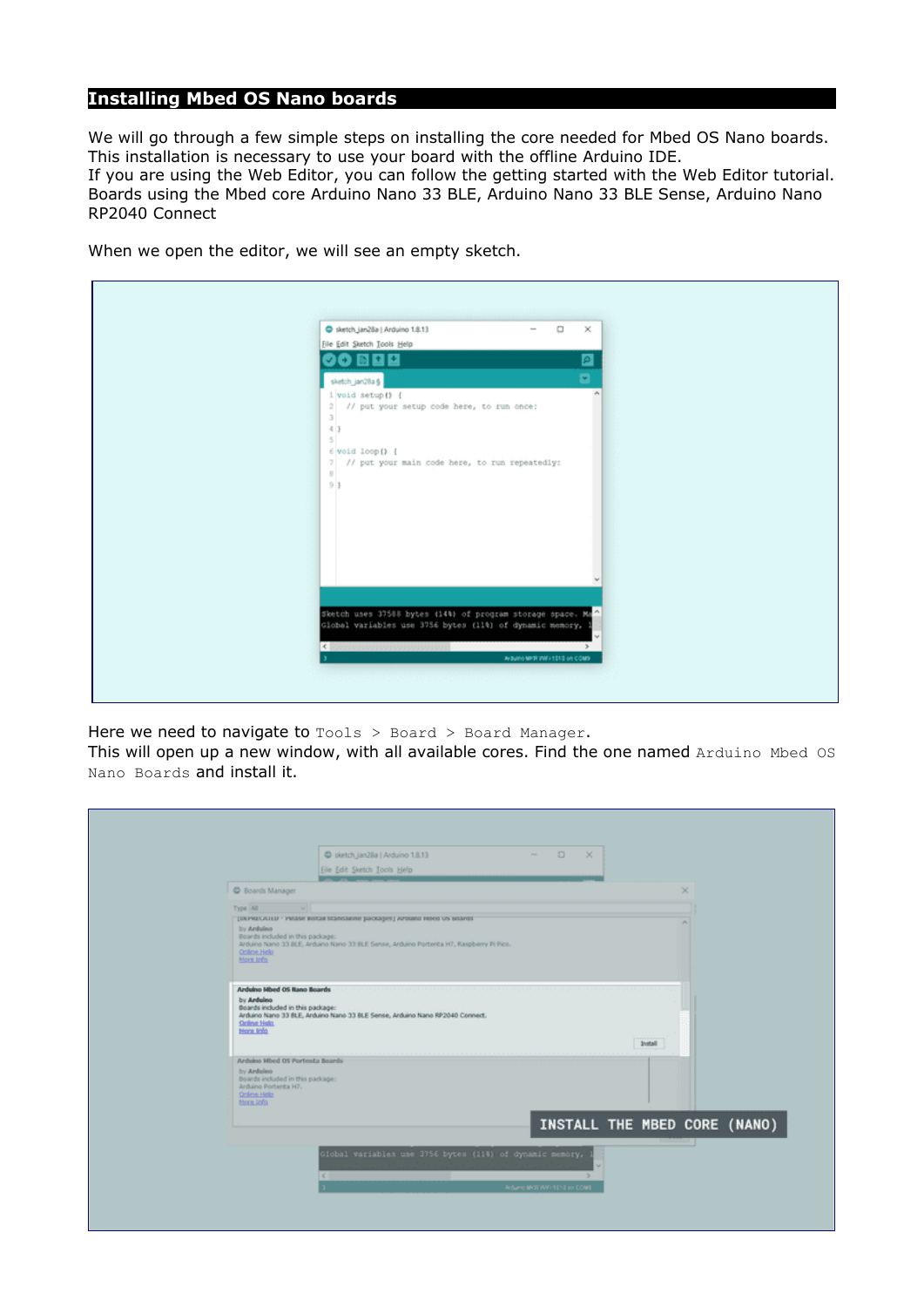## **Installing Mbed OS Nano boards**

We will go through a few simple steps on installing the core needed for Mbed OS Nano boards. This installation is necessary to use your board with the offline Arduino IDE. If you are using the Web Editor, you can follow the getting started with the Web Editor tutorial.

Boards using the Mbed core Arduino Nano 33 BLE, Arduino Nano 33 BLE Sense, Arduino Nano RP2040 Connect

When we open the editor, we will see an empty sketch.

| Stetch_jan28a   Arduino 1.8.13<br>$ \Box$<br>Eile Edit Sketch Tools Help                                                                                                                                                                                            | $\times$ |
|---------------------------------------------------------------------------------------------------------------------------------------------------------------------------------------------------------------------------------------------------------------------|----------|
| 00 B B B                                                                                                                                                                                                                                                            | ø        |
| sketch_jan28a §                                                                                                                                                                                                                                                     | ø        |
| 1 void setup () {<br>2 // put your setup code here, to run once:<br>3 <sup>1</sup><br>43<br>sl<br>6 void loop() {<br>7 // put your main code here, to run repeatedly:<br>B<br>91                                                                                    |          |
| Sketch uses 37508 bytes (144) of program storage space. Ma<br>Global variables use 3756 bytes (11%) of dynamic memory,                                                                                                                                              |          |
| <b>Commissions</b> and the <b>Million</b>                                                                                                                                                                                                                           |          |
| $\mathbf{r}$ , and the set of the set of the set of the set of the set of the set of the set of the set of the set of the set of the set of the set of the set of the set of the set of the set of the set of the set of the set<br>Arguero MPSR WWW SERIE on COMB- |          |
|                                                                                                                                                                                                                                                                     |          |

Here we need to navigate to  $\text{Tools} > \text{Board} > \text{Board}$  Manager.

This will open up a new window, with all available cores. Find the one named Arduino Mbed OS Nano Boards and install it.

|                                                                                                                                          | C sketch_jan28a   Arduino 1.8.13<br>Eile Edit Sketch Tools Help                                                                                                  | $\qquad \qquad \blacksquare \qquad \square \qquad \blacksquare$ |                              |  |
|------------------------------------------------------------------------------------------------------------------------------------------|------------------------------------------------------------------------------------------------------------------------------------------------------------------|-----------------------------------------------------------------|------------------------------|--|
| C Boards Manager                                                                                                                         |                                                                                                                                                                  |                                                                 |                              |  |
| Type All<br>--<br>by Andoleo<br>Boards included in this package:<br>Oplice Help<br>More Info                                             | [UNFRALATEU - PROSE WIRDS SCUNDINGER DOCKODES] APDUNO REPED US BOARDS<br>Arduino Nano 33 BLE, Arduino Nano 33 BLE Sense, Arduino Portenta H7, Raspberry Pi Pico. |                                                                 |                              |  |
| Arduino Hbed OS Rano Boards<br>by Arduino<br>Boards included in this package:<br><b>Online Help</b><br><b>Hone Info</b>                  | Arduino Nano 33 BLE, Arduino Nano 33 BLE Sense, Arduino Nano RP2040 Connect.                                                                                     |                                                                 | Install                      |  |
| Arduino Mbed OS Portenta Boards<br>by Ardoleo<br>Boards included in this package:<br>Arduino Portenta H7.<br>Online Help<br>Rioce, Jolla |                                                                                                                                                                  |                                                                 |                              |  |
|                                                                                                                                          | Global variables use 3756 bytes (114) of dynamic memory,<br>$\vert \vert \vert$                                                                                  | Andurro MVSI WW-1814 en COMS                                    | INSTALL THE MBED CORE (NANO) |  |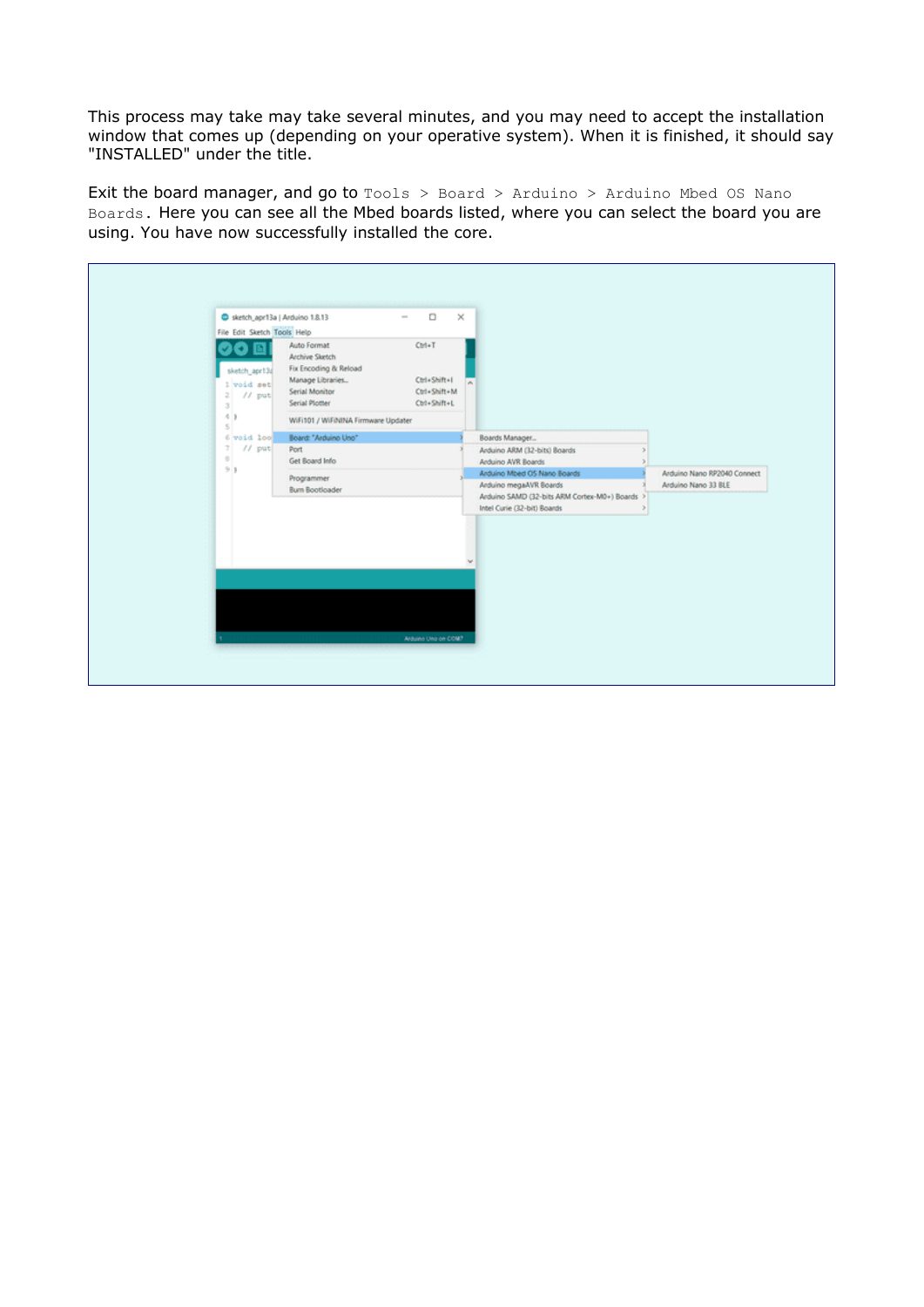This process may take may take several minutes, and you may need to accept the installation window that comes up (depending on your operative system). When it is finished, it should say "INSTALLED" under the title.

Exit the board manager, and go to Tools > Board > Arduino > Arduino Mbed OS Nano Boards. Here you can see all the Mbed boards listed, where you can select the board you are using. You have now successfully installed the core.

| Auto Format<br>$Curl+T$<br>×<br>Archive Sketch<br>Fix Encoding & Reload<br>sketch_apr13d<br>Manage Libraries<br>Ctrl+Shift+I<br>1 void set<br>Serial Monitor<br>Ctrl+Shift+M<br>$2$ // put<br>Serial Plotter<br>Ctrl+Shift+L<br>31<br>$-4$ )<br>WiFi101 / WiFiNINA Firmware Updater<br>s.<br>Board: "Arduino Uno"<br>6 void loo<br>Boards Manager<br>71.<br>$11$ put<br>Port<br>Arduino ARM (32-bits) Boards<br>÷<br>Get Board Info<br>Arduino AVR Boards<br>911<br>Arduino Mbed OS Nano Boards<br>Programmer<br>Arduino megaAVR Boards<br>Arduino Nano 33 BLE<br><b>Burn Bootloader</b><br>Arduino SAMD (32-bits ARM Cortex-M0+) Boards ><br>Intel Curie (32-bit) Boards | Sketch_apr13a   Arduino 1.8.13<br>File Edit Sketch Tools Help | $\Box$<br>$\sim$    | $\times$ |  |                             |
|---------------------------------------------------------------------------------------------------------------------------------------------------------------------------------------------------------------------------------------------------------------------------------------------------------------------------------------------------------------------------------------------------------------------------------------------------------------------------------------------------------------------------------------------------------------------------------------------------------------------------------------------------------------------------|---------------------------------------------------------------|---------------------|----------|--|-----------------------------|
|                                                                                                                                                                                                                                                                                                                                                                                                                                                                                                                                                                                                                                                                           |                                                               |                     |          |  |                             |
|                                                                                                                                                                                                                                                                                                                                                                                                                                                                                                                                                                                                                                                                           |                                                               |                     |          |  |                             |
|                                                                                                                                                                                                                                                                                                                                                                                                                                                                                                                                                                                                                                                                           |                                                               |                     |          |  |                             |
|                                                                                                                                                                                                                                                                                                                                                                                                                                                                                                                                                                                                                                                                           |                                                               |                     |          |  |                             |
|                                                                                                                                                                                                                                                                                                                                                                                                                                                                                                                                                                                                                                                                           |                                                               |                     |          |  | Arduino Nano RP2040 Connect |
|                                                                                                                                                                                                                                                                                                                                                                                                                                                                                                                                                                                                                                                                           |                                                               |                     |          |  |                             |
|                                                                                                                                                                                                                                                                                                                                                                                                                                                                                                                                                                                                                                                                           |                                                               |                     |          |  |                             |
|                                                                                                                                                                                                                                                                                                                                                                                                                                                                                                                                                                                                                                                                           |                                                               |                     |          |  |                             |
|                                                                                                                                                                                                                                                                                                                                                                                                                                                                                                                                                                                                                                                                           |                                                               |                     |          |  |                             |
|                                                                                                                                                                                                                                                                                                                                                                                                                                                                                                                                                                                                                                                                           |                                                               |                     |          |  |                             |
|                                                                                                                                                                                                                                                                                                                                                                                                                                                                                                                                                                                                                                                                           |                                                               |                     |          |  |                             |
|                                                                                                                                                                                                                                                                                                                                                                                                                                                                                                                                                                                                                                                                           |                                                               |                     |          |  |                             |
|                                                                                                                                                                                                                                                                                                                                                                                                                                                                                                                                                                                                                                                                           |                                                               | Arduino Uno en COM? |          |  |                             |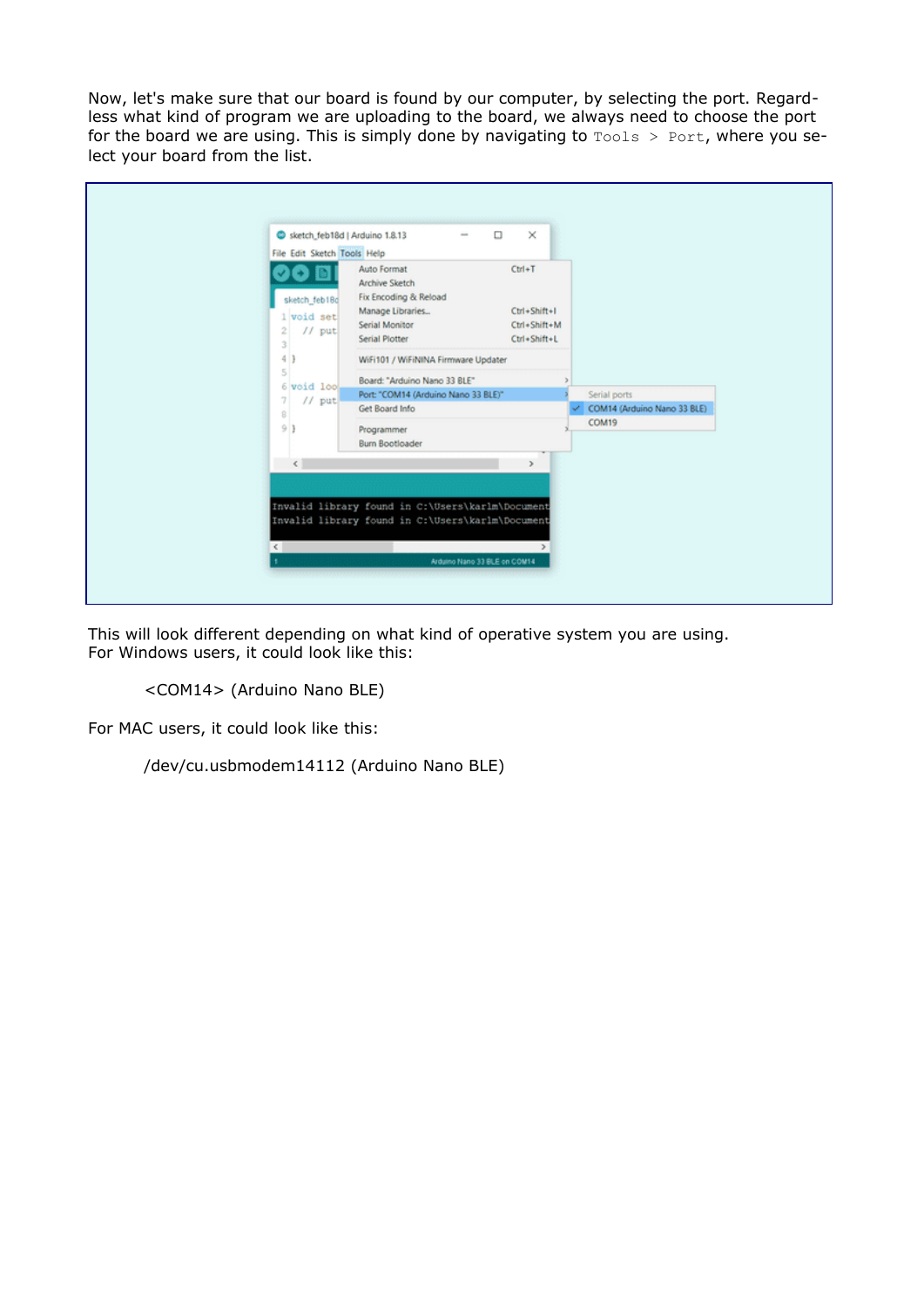Now, let's make sure that our board is found by our computer, by selecting the port. Regardless what kind of program we are uploading to the board, we always need to choose the port for the board we are using. This is simply done by navigating to  $\text{Tools} > \text{Port}$ , where you select your board from the list.

| 4 )<br>WiFi101 / WiFiNINA Firmware Updater<br>5<br>Board: "Arduino Nano 33 BLE"<br>6 void look<br>Port: "COM14 (Arduino Nano 33 BLE)"<br>Serial ports<br>$11$ put<br>COM14 (Arduino Nano 33 BLE)<br>Get Board Info<br>8<br>COM19<br>9)<br>Programmer<br><b>Burn Bootloader</b><br>$\left\langle \cdot \right\rangle$<br>э<br>Invalid library found in C:\Users\karlm\Document<br>Invalid library found in C:\Users\karlm\Document | sketch_feb18d   Arduino 1.8.13<br>File Edit Sketch Tools Help<br>sketch feb18d<br>1 void set<br>$11$ put<br>2<br>3 | Auto Format<br>Archive Sketch<br>Fix Encoding & Reload<br>Manage Libraries<br>Serial Monitor<br>Serial Plotter | $\times$<br>$Ctrl + T$<br>Ctrl+Shift+I<br>Ctrl+Shift+M<br>Ctrl+Shift+L |  |
|-----------------------------------------------------------------------------------------------------------------------------------------------------------------------------------------------------------------------------------------------------------------------------------------------------------------------------------------------------------------------------------------------------------------------------------|--------------------------------------------------------------------------------------------------------------------|----------------------------------------------------------------------------------------------------------------|------------------------------------------------------------------------|--|
|                                                                                                                                                                                                                                                                                                                                                                                                                                   |                                                                                                                    |                                                                                                                |                                                                        |  |
|                                                                                                                                                                                                                                                                                                                                                                                                                                   |                                                                                                                    |                                                                                                                |                                                                        |  |

This will look different depending on what kind of operative system you are using. For Windows users, it could look like this:

```
<COM14> (Arduino Nano BLE)
```
For MAC users, it could look like this:

/dev/cu.usbmodem14112 (Arduino Nano BLE)